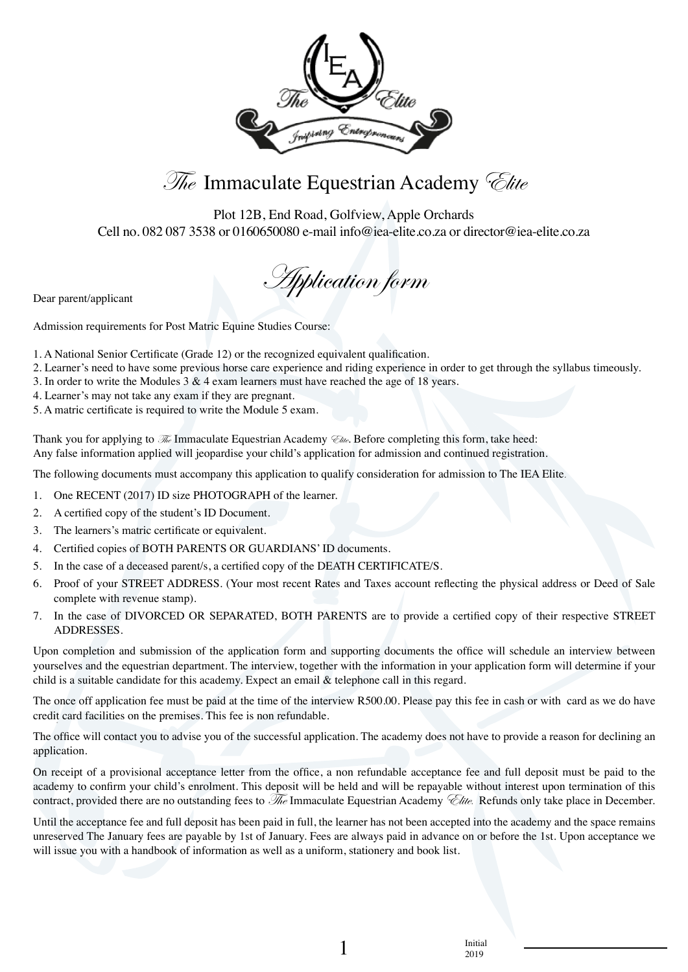



Plot 12B, End Road, Golfview, Apple Orchards Cell no. 082 087 3538 or 0160650080 e-mail info@iea-elite.co.za or director@iea-elite.co.za

Dear parent/applicant

Admission requirements for Post Matric Equine Studies Course:

- 1. A National Senior Certificate (Grade 12) or the recognized equivalent qualification.
- 2. Learner's need to have some previous horse care experience and riding experience in order to get through the syllabus timeously.
- 3. In order to write the Modules 3 & 4 exam learners must have reached the age of 18 years.
- 4. Learner's may not take any exam if they are pregnant.
- 5. A matric certificate is required to write the Module 5 exam.

Thank you for applying to  $\mathcal{F}_{\ell}$  Immaculate Equestrian Academy  $\mathcal{F}_{\ell}$ . Before completing this form, take heed: Any false information applied will jeopardise your child's application for admission and continued registration.

The following documents must accompany this application to qualify consideration for admission to The IEA Elite.

- 1. One RECENT (2017) ID size PHOTOGRAPH of the learner.
- 2. A certified copy of the student's ID Document.
- 3. The learners's matric certificate or equivalent.
- 4. Certified copies of BOTH PARENTS OR GUARDIANS' ID documents.
- 5. In the case of a deceased parent/s, a certified copy of the DEATH CERTIFICATE/S.
- 6. Proof of your STREET ADDRESS. (Your most recent Rates and Taxes account reflecting the physical address or Deed of Sale complete with revenue stamp).
- 7. In the case of DIVORCED OR SEPARATED, BOTH PARENTS are to provide a certified copy of their respective STREET ADDRESSES.

Upon completion and submission of the application form and supporting documents the office will schedule an interview between yourselves and the equestrian department. The interview, together with the information in your application form will determine if your child is a suitable candidate for this academy. Expect an email & telephone call in this regard.

The once off application fee must be paid at the time of the interview R500.00. Please pay this fee in cash or with card as we do have credit card facilities on the premises. This fee is non refundable.

The office will contact you to advise you of the successful application. The academy does not have to provide a reason for declining an application.

On receipt of a provisional acceptance letter from the office, a non refundable acceptance fee and full deposit must be paid to the academy to confirm your child's enrolment. This deposit will be held and will be repayable without interest upon termination of this contract, provided there are no outstanding fees to  $\mathcal{R}_e$  Immaculate Equestrian Academy  $\mathcal{C}_e$ ite. Refunds only take place in December.

Until the acceptance fee and full deposit has been paid in full, the learner has not been accepted into the academy and the space remains unreserved The January fees are payable by 1st of January. Fees are always paid in advance on or before the 1st. Upon acceptance we will issue you with a handbook of information as well as a uniform, stationery and book list.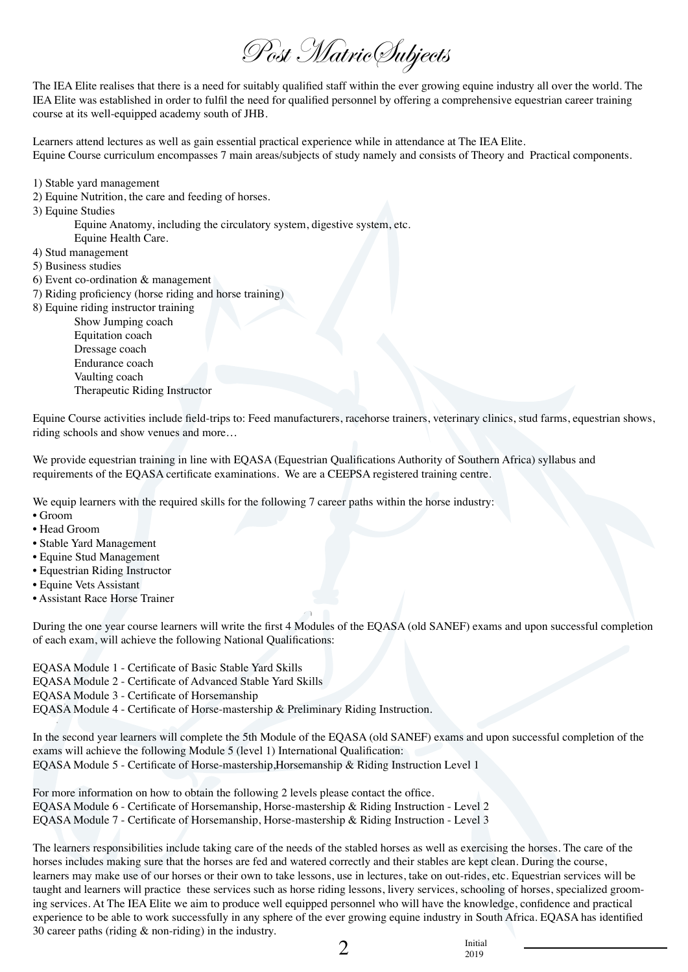Post Matric Subjects

The IEA Elite realises that there is a need for suitably qualified staff within the ever growing equine industry all over the world. The IEA Elite was established in order to fulfil the need for qualified personnel by offering a comprehensive equestrian career training course at its well-equipped academy south of JHB.

Learners attend lectures as well as gain essential practical experience while in attendance at The IEA Elite. Equine Course curriculum encompasses 7 main areas/subjects of study namely and consists of Theory and Practical components.

- 1) Stable yard management
- 2) Equine Nutrition, the care and feeding of horses.
- 3) Equine Studies

Equine Anatomy, including the circulatory system, digestive system, etc.

- Equine Health Care.
- 4) Stud management
- 5) Business studies
- 6) Event co-ordination & management
- 7) Riding proficiency (horse riding and horse training)
- 8) Equine riding instructor training

Show Jumping coach Equitation coach Dressage coach Endurance coach Vaulting coach Therapeutic Riding Instructor

Equine Course activities include field-trips to: Feed manufacturers, racehorse trainers, veterinary clinics, stud farms, equestrian shows, riding schools and show venues and more…

We provide equestrian training in line with EQASA (Equestrian Qualifications Authority of Southern Africa) syllabus and requirements of the EQASA certificate examinations. We are a CEEPSA registered training centre.

We equip learners with the required skills for the following 7 career paths within the horse industry:

- Groom
- Head Groom
- Stable Yard Management
- Equine Stud Management
- Equestrian Riding Instructor
- Equine Vets Assistant
- Assistant Race Horse Trainer

During the one year course learners will write the first 4 Modules of the EQASA (old SANEF) exams and upon successful completion of each exam, will achieve the following National Qualifications:

EQASA Module 1 - Certificate of Basic Stable Yard Skills

EQASA Module 2 - Certificate of Advanced Stable Yard Skills

EQASA Module 3 - Certificate of Horsemanship

EQASA Module 4 - Certificate of Horse-mastership & Preliminary Riding Instruction.

In the second year learners will complete the 5th Module of the EQASA (old SANEF) exams and upon successful completion of the exams will achieve the following Module 5 (level 1) International Qualification: EQASA Module 5 - Certificate of Horse-mastership,Horsemanship & Riding Instruction Level 1

For more information on how to obtain the following 2 levels please contact the office. EQASA Module 6 - Certificate of Horsemanship, Horse-mastership & Riding Instruction - Level 2 EQASA Module 7 - Certificate of Horsemanship, Horse-mastership & Riding Instruction - Level 3

The learners responsibilities include taking care of the needs of the stabled horses as well as exercising the horses. The care of the horses includes making sure that the horses are fed and watered correctly and their stables are kept clean. During the course, learners may make use of our horses or their own to take lessons, use in lectures, take on out-rides, etc. Equestrian services will be taught and learners will practice these services such as horse riding lessons, livery services, schooling of horses, specialized grooming services. At The IEA Elite we aim to produce well equipped personnel who will have the knowledge, confidence and practical experience to be able to work successfully in any sphere of the ever growing equine industry in South Africa. EQASA has identified 30 career paths (riding & non-riding) in the industry.

 $\sum_{\substack{2019}}$ 

2019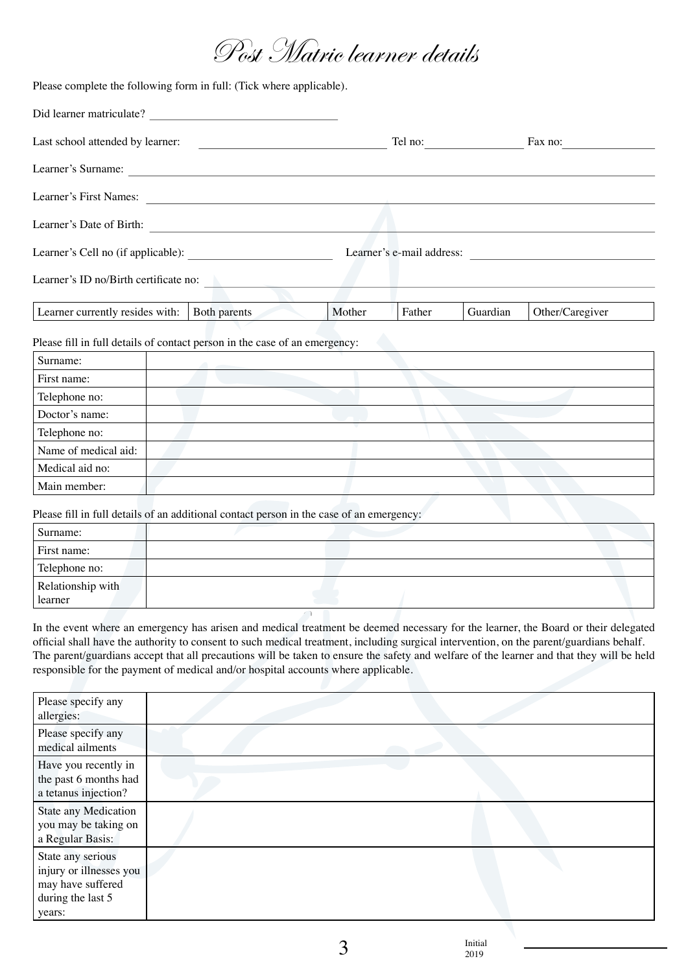## Post Matric learner details

Please complete the following form in full: (Tick where applicable).

| Did learner matriculate?                                                               |              |        |        |          |                           |  |
|----------------------------------------------------------------------------------------|--------------|--------|--------|----------|---------------------------|--|
| Last school attended by learner:<br><u> 1980 - Antonio Alemania, prima postala pre</u> |              |        |        |          | Fax no:                   |  |
| Learner's Surname:                                                                     |              |        |        |          |                           |  |
| Learner's First Names:                                                                 |              |        |        |          |                           |  |
| Learner's Date of Birth:                                                               |              |        |        |          |                           |  |
|                                                                                        |              |        |        |          | Learner's e-mail address: |  |
| Learner's ID no/Birth certificate no:                                                  |              |        |        |          |                           |  |
| Learner currently resides with:                                                        | Both parents | Mother | Father | Guardian | Other/Caregiver           |  |
| Please fill in full details of contact person in the case of an emergency:             |              |        |        |          |                           |  |
| Surname:                                                                               |              |        |        |          |                           |  |
| First name:                                                                            |              |        |        |          |                           |  |
| Telephone no:                                                                          |              |        |        |          |                           |  |
| Doctor's name:                                                                         |              |        |        |          |                           |  |
| Telephone no:                                                                          |              |        |        |          |                           |  |
| Name of medical aid:                                                                   |              |        |        |          |                           |  |
| Medical aid no:                                                                        |              |        |        |          |                           |  |

Please fill in full details of an additional contact person in the case of an emergency:

Main member:

| Surname:                     |  |  |
|------------------------------|--|--|
| First name:                  |  |  |
| Telephone no:                |  |  |
| Relationship with<br>learner |  |  |
|                              |  |  |
|                              |  |  |

In the event where an emergency has arisen and medical treatment be deemed necessary for the learner, the Board or their delegated official shall have the authority to consent to such medical treatment, including surgical intervention, on the parent/guardians behalf. The parent/guardians accept that all precautions will be taken to ensure the safety and welfare of the learner and that they will be held responsible for the payment of medical and/or hospital accounts where applicable.

| Please specify any<br>allergies:                                                                 |  |
|--------------------------------------------------------------------------------------------------|--|
| Please specify any<br>medical ailments                                                           |  |
| Have you recently in<br>the past 6 months had<br>a tetanus injection?                            |  |
| State any Medication<br>you may be taking on<br>a Regular Basis:                                 |  |
| State any serious<br>injury or illnesses you<br>may have suffered<br>during the last 5<br>years: |  |

2019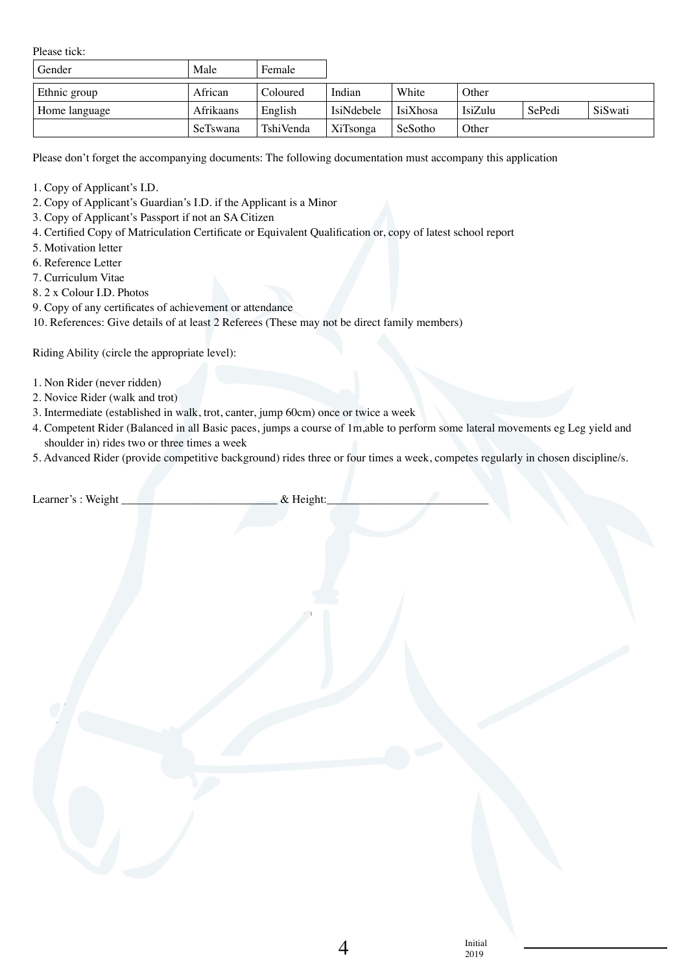Please tick:

| Gender        | Male      | Female    |            |          |         |        |         |
|---------------|-----------|-----------|------------|----------|---------|--------|---------|
| Ethnic group  | African   | Coloured  | Indian     | White    | Other   |        |         |
| Home language | Afrikaans | English   | IsiNdebele | IsiXhosa | IsiZulu | SePedi | SiSwati |
|               | SeTswana  | TshiVenda | XiTsonga   | SeSotho  | Other   |        |         |

Please don't forget the accompanying documents: The following documentation must accompany this application

- 1. Copy of Applicant's I.D.
- 2. Copy of Applicant's Guardian's I.D. if the Applicant is a Minor
- 3. Copy of Applicant's Passport if not an SA Citizen
- 4. Certified Copy of Matriculation Certificate or Equivalent Qualification or, copy of latest school report
- 5. Motivation letter
- 6. Reference Letter
- 7. Curriculum Vitae
- 8. 2 x Colour I.D. Photos
- 9. Copy of any certificates of achievement or attendance

10. References: Give details of at least 2 Referees (These may not be direct family members)

Riding Ability (circle the appropriate level):

- 1. Non Rider (never ridden)
- 2. Novice Rider (walk and trot)
- 3. Intermediate (established in walk, trot, canter, jump 60cm) once or twice a week
- 4. Competent Rider (Balanced in all Basic paces, jumps a course of 1m,able to perform some lateral movements eg Leg yield and shoulder in) rides two or three times a week
- 5. Advanced Rider (provide competitive background) rides three or four times a week, competes regularly in chosen discipline/s.

| Learner's: Weight | & Height: |
|-------------------|-----------|
|-------------------|-----------|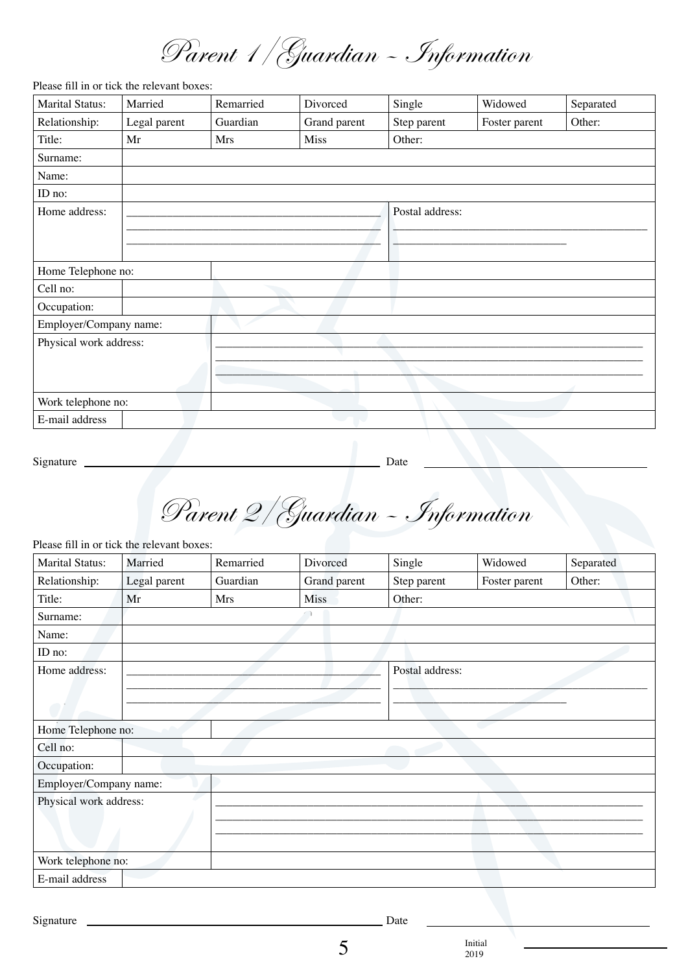Parent 1/Guardian – Information

Please fill in or tick the relevant boxes:

| <b>Marital Status:</b> | Married      | Remarried | Divorced     | Single          | Widowed       | Separated |
|------------------------|--------------|-----------|--------------|-----------------|---------------|-----------|
| Relationship:          | Legal parent | Guardian  | Grand parent | Step parent     | Foster parent | Other:    |
| Title:                 | Mr           | Mrs       | Miss         | Other:          |               |           |
| Surname:               |              |           |              |                 |               |           |
| Name:                  |              |           |              |                 |               |           |
| ID no:                 |              |           |              |                 |               |           |
| Home address:          |              |           |              | Postal address: |               |           |
|                        |              |           |              |                 |               |           |
|                        |              |           |              |                 |               |           |
| Home Telephone no:     |              |           |              |                 |               |           |
| Cell no:               |              |           |              |                 |               |           |
| Occupation:            |              |           |              |                 |               |           |
| Employer/Company name: |              |           |              |                 |               |           |
| Physical work address: |              |           |              |                 |               |           |
|                        |              |           |              |                 |               |           |
|                        |              |           |              |                 |               |           |
| Work telephone no:     |              |           |              |                 |               |           |
| E-mail address         |              |           |              |                 |               |           |

Signature Date

Parent 2/Guardian – Information

Please fill in or tick the relevant boxes:

| <b>Marital Status:</b> | Married      | Remarried | Divorced     | Single          | Widowed       | Separated |
|------------------------|--------------|-----------|--------------|-----------------|---------------|-----------|
| Relationship:          | Legal parent | Guardian  | Grand parent | Step parent     | Foster parent | Other:    |
| Title:                 | Mr           | Mrs       | <b>Miss</b>  | Other:          |               |           |
| Surname:               |              |           |              |                 |               |           |
| Name:                  |              |           |              |                 |               |           |
| ID no:                 |              |           |              |                 |               |           |
| Home address:          |              |           |              | Postal address: |               |           |
|                        |              |           |              |                 |               |           |
|                        |              |           |              |                 |               |           |
| Home Telephone no:     |              |           |              |                 |               |           |
| Cell no:               |              |           |              |                 |               |           |
| Occupation:            |              |           |              |                 |               |           |
| Employer/Company name: |              |           |              |                 |               |           |
| Physical work address: |              |           |              |                 |               |           |
|                        |              |           |              |                 |               |           |
|                        |              |           |              |                 |               |           |
| Work telephone no:     |              |           |              |                 |               |           |
| E-mail address         |              |           |              |                 |               |           |

Signature Date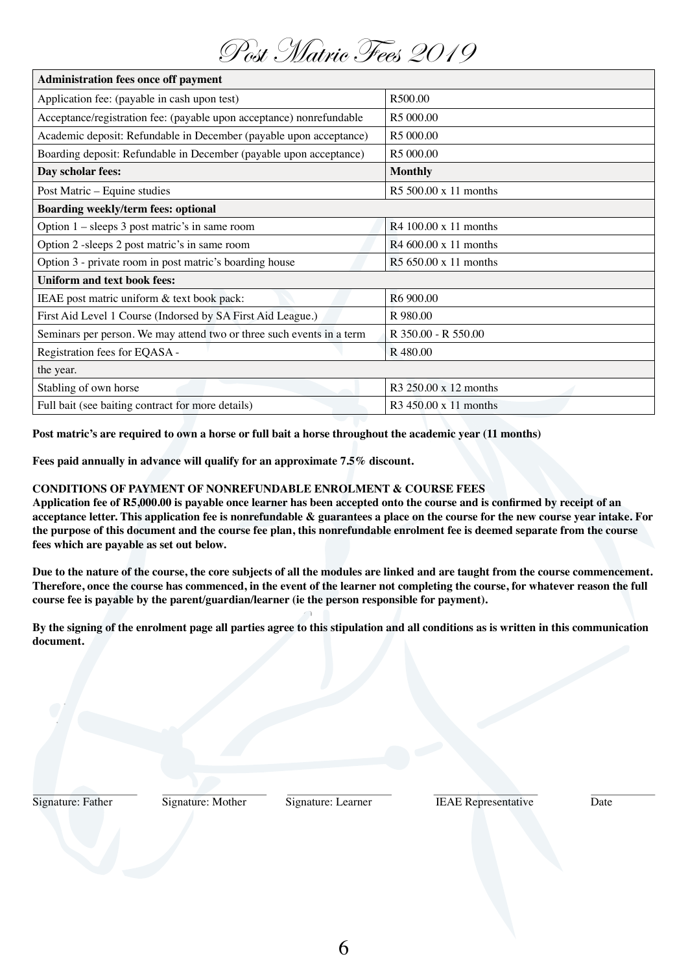| $\sim$                                                                |                                   |  |  |  |  |  |
|-----------------------------------------------------------------------|-----------------------------------|--|--|--|--|--|
| <b>Administration fees once off payment</b>                           |                                   |  |  |  |  |  |
| Application fee: (payable in cash upon test)                          | R500.00                           |  |  |  |  |  |
| Acceptance/registration fee: (payable upon acceptance) nonrefundable  | R5 000.00                         |  |  |  |  |  |
| Academic deposit: Refundable in December (payable upon acceptance)    | R5 000.00                         |  |  |  |  |  |
| Boarding deposit: Refundable in December (payable upon acceptance)    | R5 000.00                         |  |  |  |  |  |
| Day scholar fees:                                                     | <b>Monthly</b>                    |  |  |  |  |  |
| Post Matric - Equine studies                                          | R5 500.00 x 11 months             |  |  |  |  |  |
| Boarding weekly/term fees: optional                                   |                                   |  |  |  |  |  |
| Option $1 -$ sleeps 3 post matric's in same room                      | $R4100.00 \times 11$ months       |  |  |  |  |  |
| Option 2 - sleeps 2 post matric's in same room                        | R4 600.00 x 11 months             |  |  |  |  |  |
| Option 3 - private room in post matric's boarding house               | R5 650.00 x 11 months             |  |  |  |  |  |
| <b>Uniform and text book fees:</b>                                    |                                   |  |  |  |  |  |
| IEAE post matric uniform & text book pack:                            | R6 900.00                         |  |  |  |  |  |
| First Aid Level 1 Course (Indorsed by SA First Aid League.)           | R 980.00                          |  |  |  |  |  |
| Seminars per person. We may attend two or three such events in a term | R 350.00 - R 550.00               |  |  |  |  |  |
| Registration fees for EQASA -                                         | R 480.00                          |  |  |  |  |  |
| the year.                                                             |                                   |  |  |  |  |  |
| Stabling of own horse                                                 | R <sub>3</sub> 250.00 x 12 months |  |  |  |  |  |
| Full bait (see baiting contract for more details)                     | R3 450.00 x 11 months             |  |  |  |  |  |
|                                                                       |                                   |  |  |  |  |  |

Post Matric Fees 2010

**Post matric's are required to own a horse or full bait a horse throughout the academic year (11 months)**

**Fees paid annually in advance will qualify for an approximate 7.5% discount.**

## **CONDITIONS OF PAYMENT OF NONREFUNDABLE ENROLMENT & COURSE FEES**

**Application fee of R5,000.00 is payable once learner has been accepted onto the course and is confirmed by receipt of an acceptance letter. This application fee is nonrefundable & guarantees a place on the course for the new course year intake. For the purpose of this document and the course fee plan, this nonrefundable enrolment fee is deemed separate from the course fees which are payable as set out below.**

**Due to the nature of the course, the core subjects of all the modules are linked and are taught from the course commencement. Therefore, once the course has commenced, in the event of the learner not completing the course, for whatever reason the full course fee is payable by the parent/guardian/learner (ie the person responsible for payment).**

**By the signing of the enrolment page all parties agree to this stipulation and all conditions as is written in this communication document.**

Signature: Father Signature: Mother Signature: Learner IEAE Representative Date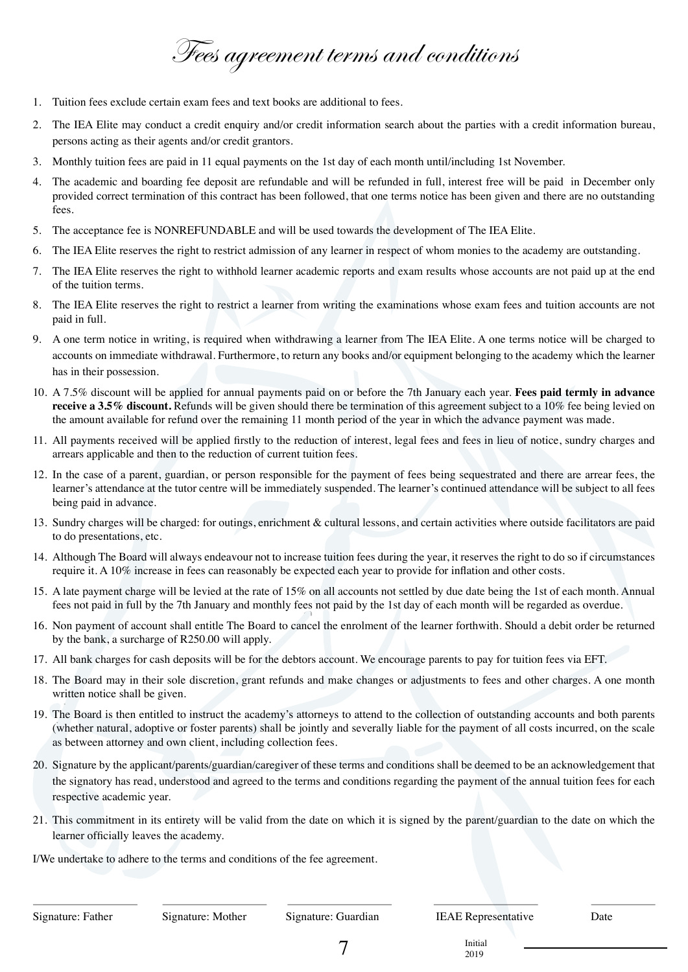Fees agreement terms and conditions

- 1. Tuition fees exclude certain exam fees and text books are additional to fees.
- 2. The IEA Elite may conduct a credit enquiry and/or credit information search about the parties with a credit information bureau, persons acting as their agents and/or credit grantors.
- 3. Monthly tuition fees are paid in 11 equal payments on the 1st day of each month until/including 1st November.
- 4. The academic and boarding fee deposit are refundable and will be refunded in full, interest free will be paid in December only provided correct termination of this contract has been followed, that one terms notice has been given and there are no outstanding fees.
- 5. The acceptance fee is NONREFUNDABLE and will be used towards the development of The IEA Elite.
- 6. The IEA Elite reserves the right to restrict admission of any learner in respect of whom monies to the academy are outstanding.
- 7. The IEA Elite reserves the right to withhold learner academic reports and exam results whose accounts are not paid up at the end of the tuition terms.
- 8. The IEA Elite reserves the right to restrict a learner from writing the examinations whose exam fees and tuition accounts are not paid in full.
- 9. A one term notice in writing, is required when withdrawing a learner from The IEA Elite. A one terms notice will be charged to accounts on immediate withdrawal. Furthermore, to return any books and/or equipment belonging to the academy which the learner has in their possession.
- 10. A 7.5% discount will be applied for annual payments paid on or before the 7th January each year. **Fees paid termly in advance receive a 3.5% discount.** Refunds will be given should there be termination of this agreement subject to a 10% fee being levied on the amount available for refund over the remaining 11 month period of the year in which the advance payment was made.
- 11. All payments received will be applied firstly to the reduction of interest, legal fees and fees in lieu of notice, sundry charges and arrears applicable and then to the reduction of current tuition fees.
- 12. In the case of a parent, guardian, or person responsible for the payment of fees being sequestrated and there are arrear fees, the learner's attendance at the tutor centre will be immediately suspended. The learner's continued attendance will be subject to all fees being paid in advance.
- 13. Sundry charges will be charged: for outings, enrichment & cultural lessons, and certain activities where outside facilitators are paid to do presentations, etc.
- 14. Although The Board will always endeavour not to increase tuition fees during the year, it reserves the right to do so if circumstances require it. A 10% increase in fees can reasonably be expected each year to provide for inflation and other costs.
- 15. A late payment charge will be levied at the rate of 15% on all accounts not settled by due date being the 1st of each month. Annual fees not paid in full by the 7th January and monthly fees not paid by the 1st day of each month will be regarded as overdue.
- 16. Non payment of account shall entitle The Board to cancel the enrolment of the learner forthwith. Should a debit order be returned by the bank, a surcharge of R250.00 will apply.
- 17. All bank charges for cash deposits will be for the debtors account. We encourage parents to pay for tuition fees via EFT.
- 18. The Board may in their sole discretion, grant refunds and make changes or adjustments to fees and other charges. A one month written notice shall be given.
- 19. The Board is then entitled to instruct the academy's attorneys to attend to the collection of outstanding accounts and both parents (whether natural, adoptive or foster parents) shall be jointly and severally liable for the payment of all costs incurred, on the scale as between attorney and own client, including collection fees.
- 20. Signature by the applicant/parents/guardian/caregiver of these terms and conditions shall be deemed to be an acknowledgement that the signatory has read, understood and agreed to the terms and conditions regarding the payment of the annual tuition fees for each respective academic year.
- 21. This commitment in its entirety will be valid from the date on which it is signed by the parent/guardian to the date on which the learner officially leaves the academy.

I/We undertake to adhere to the terms and conditions of the fee agreement.

2019

 $7 \over 2019$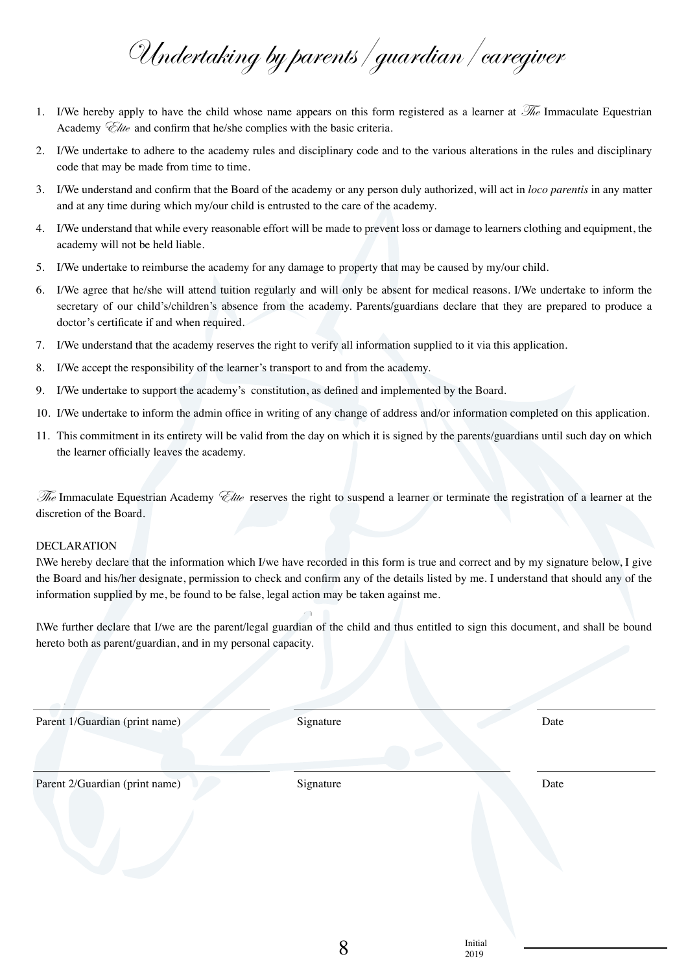Undertaking by parents/guardian/caregiver

- 1. I/We hereby apply to have the child whose name appears on this form registered as a learner at  $\mathcal{H}_e$  Immaculate Equestrian Academy *Clite* and confirm that he/she complies with the basic criteria.
- 2. I/We undertake to adhere to the academy rules and disciplinary code and to the various alterations in the rules and disciplinary code that may be made from time to time.
- 3. I/We understand and confirm that the Board of the academy or any person duly authorized, will act in *loco parentis* in any matter and at any time during which my/our child is entrusted to the care of the academy.
- 4. I/We understand that while every reasonable effort will be made to prevent loss or damage to learners clothing and equipment, the academy will not be held liable.
- 5. I/We undertake to reimburse the academy for any damage to property that may be caused by my/our child.
- 6. I/We agree that he/she will attend tuition regularly and will only be absent for medical reasons. I/We undertake to inform the secretary of our child's/children's absence from the academy. Parents/guardians declare that they are prepared to produce a doctor's certificate if and when required.
- 7. I/We understand that the academy reserves the right to verify all information supplied to it via this application.
- 8. I/We accept the responsibility of the learner's transport to and from the academy.
- 9. I/We undertake to support the academy's constitution, as defined and implemented by the Board.
- 10. I/We undertake to inform the admin office in writing of any change of address and/or information completed on this application.
- 11. This commitment in its entirety will be valid from the day on which it is signed by the parents/guardians until such day on which the learner officially leaves the academy.

 $\mathcal{F}_t$  Immaculate Equestrian Academy  $\mathcal{F}_{tte}$  reserves the right to suspend a learner or terminate the registration of a learner at the discretion of the Board.

## DECLARATION

I\We hereby declare that the information which I/we have recorded in this form is true and correct and by my signature below, I give the Board and his/her designate, permission to check and confirm any of the details listed by me. I understand that should any of the information supplied by me, be found to be false, legal action may be taken against me.

I\We further declare that I/we are the parent/legal guardian of the child and thus entitled to sign this document, and shall be bound hereto both as parent/guardian, and in my personal capacity.

Parent 1/Guardian (print name) Signature Date Parent 2/Guardian (print name) Signature Signature Date

 $8 \longrightarrow 2019$ 

2019